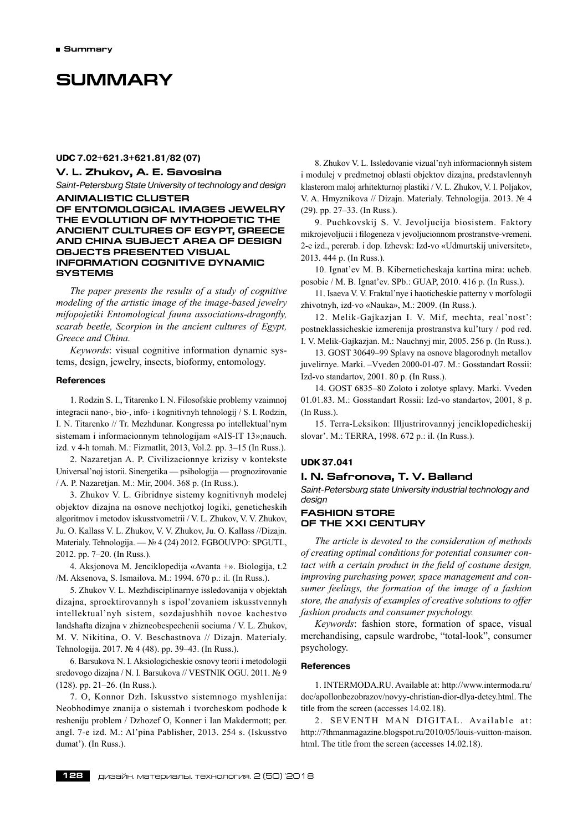# **SUMMARY**

#### **UDC 7.02+621.3+621.81/82 (07)**

# **V. L. Zhukov, а. е. Savosina**

*Saint-Petersburg State University of technology and design* **ANIMALISTIC CLUSTER** 

**OF ENTOMOLOGICAL IMAGES JEWELRY THE EVOLUTION OF MYTHOPOETIC THE ANCIENT CULTURES OF EGYPT, GREECE AND CHINA SUBJECT AREA OF DESIGN OBJECTS PRESENTED VISUAL INFORMATION COGNITIVE DYNAMIC SYSTEMS**

*The paper presents the results of a study of cognitive modeling of the artistic image of the image-based jewelry mifopojetiki Entomological fauna associations-dragonfly, scarab beetle, Scorpion in the ancient cultures of Egypt, Greece and China.*

*Keywords*: visual cognitive information dynamic systems, design, jewelry, insects, bioformy, entomology.

#### **References**

1. Rodzin S. I., Titarenko I. N. Filosofskie problemy vzaimnoj integracii nano-, bio-, info- i kognitivnyh tehnologij / S. I. Rodzin, I. N. Titarenko // Tr. Mezhdunar. Kongressa po intellektual'nym sistemam i informacionnym tehnologijam «AIS-IT 13»;nauch. izd. v 4‑h tomah. M.: Fizmatlit, 2013, Vol.2. pp. 3–15 (In Russ.).

2. Nazaretjan A. P. Civilizacionnye krizisy v kontekste Universal'noj istorii. Sinergetika — psihologija — prognozirovanie / A. P. Nazaretjan. M.: Mir, 2004. 368 p. (In Russ.).

3. Zhukov V. L. Gibridnye sistemy kognitivnyh modelej objektov dizajna na osnove nechjotkoj logiki, geneticheskih algoritmov i metodov iskusstvometrii / V. L. Zhukov, V. V. Zhukov, Ju. O. Kallass V. L. Zhukov, V. V. Zhukov, Ju. O. Kallass //Dizajn. Materialy. Tehnologija. — № 4 (24) 2012. FGBOUVPO: SPGUTL, 2012. pp. 7–20. (In Russ.).

4. Aksjonova M. Jenciklopedija «Avanta +». Biologija, t.2 /M. Aksenova, S. Ismailova. M.: 1994. 670 p.: il. (In Russ.).

5. Zhukov V. L. Mezhdisciplinarnye issledovanija v objektah dizajna, sproektirovannyh s ispol'zovaniem iskusstvennyh intellektual'nyh sistem, sozdajushhih novoe kachestvo landshafta dizajna v zhizneobespechenii sociuma / V. L. Zhukov, M. V. Nikitina, O. V. Beschastnova // Dizajn. Materialy. Tehnologija. 2017. № 4 (48). pp. 39–43. (In Russ.).

6. Barsukova N. I. Aksiologicheskie osnovy teorii i metodologii sredovogo dizajna / N. I. Barsukova // VESTNIK OGU. 2011. № 9 (128). pp. 21–26. (In Russ.).

7. O, Konnor Dzh. Iskusstvo sistemnogo myshlenija: Neobhodimye znanija o sistemah i tvorcheskom podhode k resheniju problem / Dzhozef O, Konner i Ian Makdermott; per. angl. 7‑e izd. M.: Al'pina Pablisher, 2013. 254 s. (Iskusstvo dumat'). (In Russ.).

8. Zhukov V. L. Issledovanie vizual'nyh informacionnyh sistem i modulej v predmetnoj oblasti objektov dizajna, predstavlennyh klasterom maloj arhitekturnoj plastiki / V. L. Zhukov, V. I. Poljakov, V. A. Hmyznikova // Dizajn. Materialy. Tehnologija. 2013. № 4 (29). pp. 27–33. (In Russ.).

9. Puchkovskij S. V. Jevoljucija biosistem. Faktory mikrojevoljucii i filogeneza v jevoljucionnom prostranstve-vremeni. 2‑e izd., pererab. i dop. Izhevsk: Izd-vo «Udmurtskij universitet», 2013. 444 p. (In Russ.).

10. Ignat'ev M. B. Kiberneticheskaja kartina mira: ucheb. posobie / M. B. Ignat'ev. SPb.: GUAP, 2010. 416 p. (In Russ.).

11. Isaeva V. V. Fraktal'nye i haoticheskie patterny v morfologii zhivotnyh, izd-vo «Nauka», M.: 2009. (In Russ.).

12. Melik-Gajkazjan I. V. Mif, mechta, real'nost': postneklassicheskie izmerenija prostranstva kul'tury / pod red. I. V. Melik-Gajkazjan. M.: Nauchnyj mir, 2005. 256 p. (In Russ.).

13. GOST 30649–99 Splavy na osnove blagorodnyh metallov juvelirnye. Marki. –Vveden 2000‑01‑07. M.: Gosstandart Rossii: Izd-vo standartov, 2001. 80 p. (In Russ.).

14. GOST 6835–80 Zoloto i zolotye splavy. Marki. Vveden 01.01.83. M.: Gosstandart Rossii: Izd-vo standartov, 2001, 8 p. (In Russ.).

15. Terra-Leksikon: Illjustrirovannyj jenciklopedicheskij slovar'. M.: TERRA, 1998. 672 p.: il. (In Russ.).

### **UDK 37.041**

### **I. N. Safronova, T. V. Balland**

*Saint-Petersburg state University industrial technology and design*

# **FASHION STORE OF THE XXI CENTURY**

*The article is devoted to the consideration of methods of creating optimal conditions for potential consumer contact with a certain product in the field of costume design, improving purchasing power, space management and consumer feelings, the formation of the image of a fashion store, the analysis of examples of creative solutions to offer fashion products and consumer psychology.*

*Keywords*: fashion store, formation of space, visual merchandising, capsule wardrobe, "total-look", consumer psychology.

#### **References**

1. INTERMODA.RU. Available at: http://www.intermoda.ru/ doc/apollonbezobrazov/novyy-christian-dior-dlya-detey.html. The title from the screen (accesses 14.02.18).

2. SEVENTH MAN DIGITAL. Available at: http://7thmanmagazine.blogspot.ru/2010/05/louis-vuitton-maison. html. The title from the screen (accesses 14.02.18).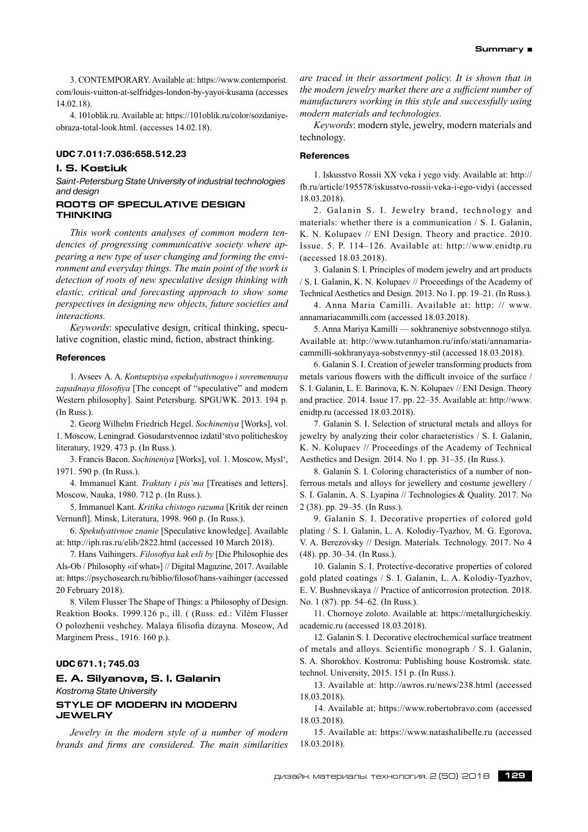3. CONTEMPORARY. Available at: https://www.contemporist. com/louis-vuitton-at-selfridges-london-by-yayoi-kusama (accesses 14.02.18).

4. 101oblik.ru. Available at: https://101oblik.ru/color/sozdaniyeobraza-total-look.html. (accesses 14.02.18).

#### **UDC 7.011:7.036:658.512.23**

### **I. S. Kostiuk**

*Saint-Petersburg State University of industrial technologies and design*

# **ROOTS OF SPECULATIVE DESIGN THINKING**

*This work contents analyses of common modern tendencies of progressing communicative society where appearing a new type of user changing and forming the environment and everyday things. The main point of the work is detection of roots of new speculative design thinking with elastic, critical and forecasting approach to show some perspectives in designing new objects, future societies and interactions.*

*Keywords*: speculative design, critical thinking, speculative cognition, elastic mind, fiction, abstract thinking.

#### **References**

1. Avseev А. А. *Kontseptsiya «spekulyativnogo» i sovremennaya zapadnaya filosofiya* [The concept of "speculative" and modern Western philosophy]. Saint Petersburg. SPGUWK. 2013. 194 p. (In Russ.).

2. Georg Wilhelm Friedrich Hegel.*Sochineniya* [Works], vol. 1. Moscow, Leningrad. Gosudarstvennoe izdatil'stvo politicheskoy literatury, 1929. 473 p. (In Russ.).

3. Francis Bacon.*Sochineniya* [Works], vol. 1. Moscow, Mysl', 1971. 590 p. (In Russ.).

4. Immanuel Kant.*Traktaty i pis'ma* [Treatises and letters]. Moscow, Nauka, 1980. 712 p. (In Russ.).

5. Immanuel Kant.*Kritika chistogo razuma* [Kritik der reinen Vernunft]. Minsk, Literatura, 1998. 960 p. (In Russ.).

6. *Spekulyativnoe znanie* [Speculative knowledge]. Available at: http://iph.ras.ru/elib/2822.html (accessed 10 March 2018).

7. Hans Vaihingers.*Filosofiya kak esli by* [Die Philosophie des Als-Ob / Philosophy «if what»] // Digital Magazine, 2017. Available at: https://psychosearch.ru/biblio/filosof/hans-vaihinger (accessed 20 February 2018).

8. Vilem Flusser The Shape of Things: a Philosophy of Design. Reaktion Books. 1999.126 p., ill. ( (Russ. ed.: Vilém Flusser O polozhenii veshchey. Malaya filisofia dizayna. Moscow, Ad Marginem Press., 1916. 160 p.).

# **UDC 671.1; 745.03**

# **E. A. Silyanova, S. I. Galanin** *Kostroma State University* **STYLE OF MODERN IN MODERN JEWELRY**

*Jewelry in the modern style of a number of modern brands and firms are considered. The main similarities*

*are traced in their assortment policy. It is shown that in the modern jewelry market there are a sufficient number of manufacturers working in this style and successfully using modern materials and technologies.*

*Keywords*: modern style, jewelry, modern materials and technology.

### **References**

1. Iskusstvo Rossii XX veka i yego vidy. Available at: http:// fb.ru/article/195578/iskusstvo-rossii-veka-i-ego-vidyi (accessed 18.03.2018).

2. Galanin S. I. Jewelry brand, technology and materials: whether there is a communication / S. I. Galanin, K. N. Kolupaev // ENI Design. Theory and practice. 2010. Issue. 5. P. 114–126. Available at: http://www.enidtp.ru (accessed 18.03.2018).

3. Galanin S. I. Principles of modern jewelry and art products / S. I. Galanin, K. N. Kolupaev // Proceedings of the Academy of Technical Aesthetics and Design. 2013. No 1. pp. 19–21. (In Russ.).

4. Anna Maria Camilli. Available at: http: // www. annamariacammilli.com (accessed 18.03.2018).

5. Anna Mariya Kamilli — sokhraneniye sobstvennogo stilya. Available at: http://www.tutanhamon.ru/info/stati/annamariacammilli-sokhranyaya-sobstvennyy-stil (accessed 18.03.2018).

6. Galanin S. I. Creation of jeweler transforming products from metals various flowers with the difficult invoice of the surface / S. I. Galanin, L. E. Barinova, K. N. Kolupaev // ENI Design. Theory and practice. 2014. Issue 17. pp. 22–35. Available at: http://www. enidtp.ru (accessed 18.03.2018).

7. Galanin S. I. Selection of structural metals and alloys for jewelry by analyzing their color characteristics / S. I. Galanin, K. N. Kolupaev // Proceedings of the Academy of Technical Aesthetics and Design. 2014. No 1. pp. 31–35. (In Russ.).

8. Galanin S. I. Coloring characteristics of a number of nonferrous metals and alloys for jewellery and costume jewellery / S. I. Galanin, A. S. Lyapina // Technologies & Quality. 2017. No 2 (38). pp. 29–35. (In Russ.).

9. Galanin S. I. Decorative properties of colored gold plating / S. I. Galanin, L. A. Kolodiy-Tyazhov, M. G. Egorova, V. A. Berezovsky // Design. Materials. Technology. 2017. No 4 (48). pp. 30–34. (In Russ.).

10. Galanin S. I. Protective-decorative properties of colored gold plated coatings / S. I. Galanin, L. A. Kolodiy-Tyazhov, E. V. Bushnevskaya // Practice of anticorrosion protection. 2018. No. 1 (87). pp. 54–62. (In Russ.).

11. Chornoye zoloto. Available at: https://metallurgicheskiy. academic.ru (accessed 18.03.2018).

12. Galanin S. I. Decorative electrochemical surface treatment of metals and alloys. Scientific monograph / S. I. Galanin, S. A. Shorokhov. Kostroma: Publishing house Kostromsk. state. technol. University, 2015. 151 p. (In Russ.).

13. Available at: http://awros.ru/news/238.html (accessed 18.03.2018).

14. Available at: https://www.robertobravo.com (accessed 18.03.2018).

15. Available at: https://www.natashalibelle.ru (accessed 18.03.2018).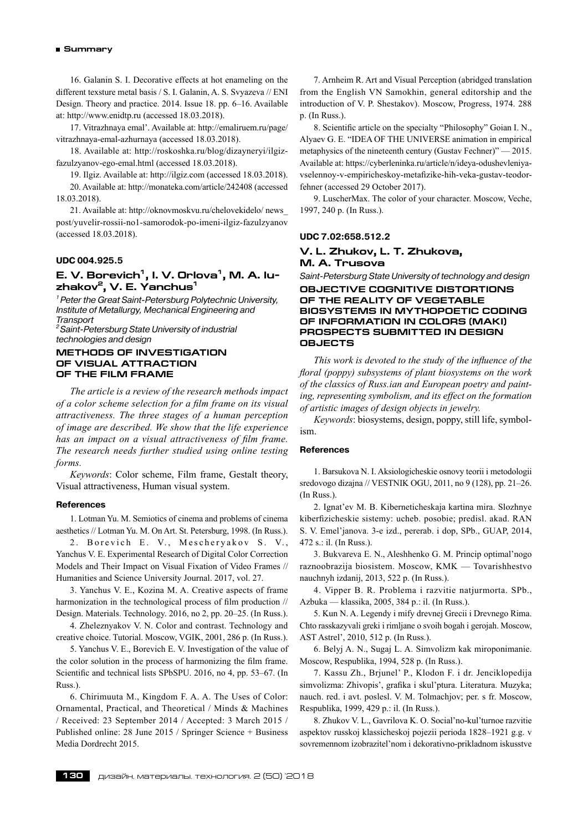16. Galanin S. I. Decorative effects at hot enameling on the different texsture metal basis / S. I. Galanin, A. S. Svyazeva // ENI Design. Theory and practice. 2014. Issue 18. pp. 6–16. Available at: http://www.enidtp.ru (accessed 18.03.2018).

17. Vitrazhnaya emal'. Available at: http://emaliruem.ru/page/ vitrazhnaya-emal-azhurnaya (accessed 18.03.2018).

18. Available at: http://roskoshka.ru/blog/dizayneryi/ilgizfazulzyanov-ego-emal.html (accessed 18.03.2018).

19. Ilgiz. Available at: http://ilgiz.com (accessed 18.03.2018).

20. Available at: http://monateka.com/article/242408 (accessed 18.03.2018).

21. Available at: http://oknovmoskvu.ru/chelovekidelo/ news\_ post/yuvelir-rossii-no1‑samorodok-po-imeni-ilgiz-fazulzyanov (accessed 18.03.2018).

#### **UDC 004.925.5**

# **E. V. Borevich1, I. V. Orlova1, M. A. Iuzhakov2, V. E. Yanchus1**

*1 Peter the Great Saint-Petersburg Polytechnic University, Institute of Metallurgy, Mechanical Engineering and Transport*

*2 Saint-Petersburg State University of industrial technologies and design*

#### **METHODS OF INVESTIGATION OF VISUAL ATTRACTION OF THE FILM FRAME**

*The article is a review of the research methods impact of a color scheme selection for a film frame on its visual attractiveness. The three stages of a human perception of image are described. We show that the life experience has an impact on a visual attractiveness of film frame. The research needs further studied using online testing forms.*

*Keywords*: Color scheme, Film frame, Gestalt theory, Visual attractiveness, Human visual system.

#### **References**

1. Lotman Yu. M. Semiotics of cinema and problems of cinema aesthetics // Lotman Yu. M. On Art. St. Petersburg, 1998. (In Russ.).

2. Borevich E. V., Mescheryakov S. V., Yanchus V. E. Experimental Research of Digital Color Correction Models and Their Impact on Visual Fixation of Video Frames // Humanities and Science University Journal. 2017, vol. 27.

3. Yanchus V. E., Kozina M. A. Creative aspects of frame harmonization in the technological process of film production // Design. Materials. Technology. 2016, no 2, pp. 20–25. (In Russ.).

4. Zheleznyakov V. N. Color and contrast. Technology and creative choice. Tutorial. Moscow, VGIK, 2001, 286 p. (In Russ.).

5. Yanchus V. E., Borevich E. V. Investigation of the value of the color solution in the process of harmonizing the film frame. Scientific and technical lists SPbSPU. 2016, no 4, pp. 53–67. (In Russ.).

6. Chirimuuta M., Kingdom F. A. A. The Uses of Color: Ornamental, Practical, and Theoretical / Minds & Machines / Received: 23 September 2014 / Accepted: 3 March 2015 / Published online: 28 June 2015 / Springer Science + Business Media Dordrecht 2015.

7. Arnheim R. Art and Visual Perception (abridged translation from the English VN Samokhin, general editorship and the introduction of V. P. Shestakov). Moscow, Progress, 1974. 288 p. (In Russ.).

8. Scientific article on the specialty "Philosophy" Goian I. N., Alyaev G. E. "IDEA OF THE UNIVERSE animation in empirical metaphysics of the nineteenth century (Gustav Fechner)" — 2015. Available at: https://cyberleninka.ru/article/n/ideya-odushevleniyavselennoy-v-empiricheskoy-metafizike-hih-veka-gustav-teodorfehner (accessed 29 October 2017).

9. LuscherMax. The color of your character. Moscow, Veche, 1997, 240 p. (In Russ.).

#### **UDC 7.02:658.512.2**

### **V. L. Zhukov, L. T. Zhukova, M. A. Trusova**

*Saint-Petersburg State University of technology and design* **OBJECTIVE COGNITIVE DISTORTIONS OF THE REALITY OF VEGETABLE BIOSYSTEMS IN MYTHOPOETIC CODING OF INFORMATION IN COLORS (MAKI) PROSPECTS SUBMITTED IN DESIGN OBJECTS**

*This work is devoted to the study of the influence of the floral (poppy) subsystems of plant biosystems on the work of the classics of Russ.ian and European poetry and painting, representing symbolism, and its effect on the formation of artistic images of design objects in jewelry.*

*Keywords*: biosystems, design, poppy, still life, symbolism.

### **References**

1. Barsukova N. I. Aksiologicheskie osnovy teorii i metodologii sredovogo dizajna // VESTNIK OGU, 2011, no 9 (128), pp. 21–26. (In Russ.).

2. Ignat'ev M. B. Kiberneticheskaja kartina mira. Slozhnye kiberfizicheskie sistemy: ucheb. posobie; predisl. akad. RAN S. V. Emel'janova. 3‑e izd., pererab. i dop, SPb., GUAP, 2014, 472 s.: il. (In Russ.).

3. Bukvareva E. N., Aleshhenko G. M. Princip optimal'nogo raznoobrazija biosistem. Moscow, KMK — Tovarishhestvo nauchnyh izdanij, 2013, 522 p. (In Russ.).

4. Vipper B. R. Problema i razvitie natjurmorta. SPb., Azbuka — klassika, 2005, 384 p.: il. (In Russ.).

5. Kun N. A. Legendy i mify drevnej Grecii i Drevnego Rima. Chto rasskazyvali greki i rimljane o svoih bogah i gerojah. Moscow, AST Astrel', 2010, 512 p. (In Russ.).

6. Belyj A. N., Sugaj L. A. Simvolizm kak miroponimanie. Moscow, Respublika, 1994, 528 p. (In Russ.).

7. Kassu Zh., Brjunel' P., Klodon F. i dr. Jenciklopedija simvolizma: Zhivopis', grafika i skul'ptura. Literatura. Muzyka; nauch. red. i avt. poslesl. V. M. Tolmachjov; per. s fr. Moscow, Respublika, 1999, 429 p.: il. (In Russ.).

8. Zhukov V. L., Gavrilova K. O. Social'no-kul'turnoe razvitie aspektov russkoj klassicheskoj pojezii perioda 1828–1921 g.g. v sovremennom izobrazitel'nom i dekorativno-prikladnom iskusstve

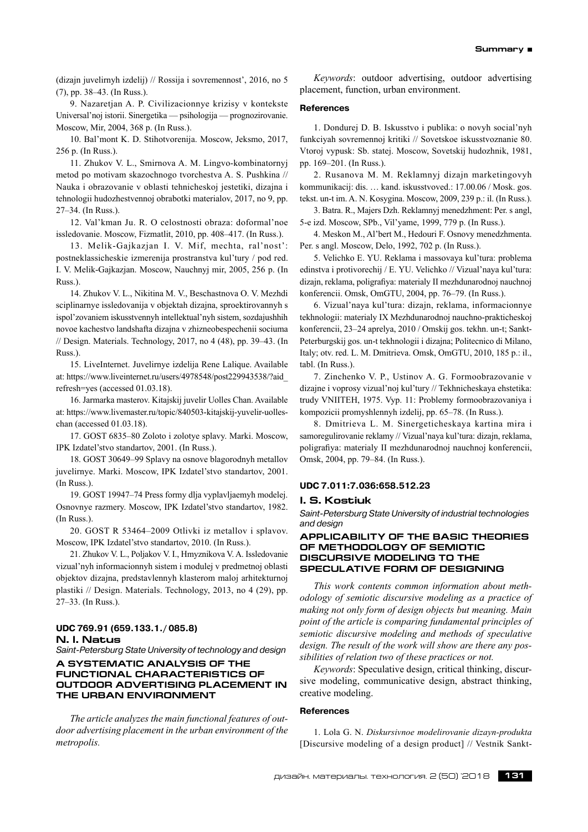(dizajn juvelirnyh izdelij) // Rossija i sovremennost', 2016, no 5 (7), pp. 38–43. (In Russ.).

9. Nazaretjan A. P. Civilizacionnye krizisy v kontekste Universal'noj istorii. Sinergetika — psihologija — prognozirovanie. Moscow, Mir, 2004, 368 p. (In Russ.).

10. Bal'mont K. D. Stihotvorenija. Moscow, Jeksmo, 2017, 256 p. (In Russ.).

11. Zhukov V. L., Smirnova A. M. Lingvo-kombinatornyj metod po motivam skazochnogo tvorchestva A. S. Pushkina // Nauka i obrazovanie v oblasti tehnicheskoj jestetiki, dizajna i tehnologii hudozhestvennoj obrabotki materialov, 2017, no 9, pp. 27–34. (In Russ.).

12. Val'kman Ju. R. O celostnosti obraza: doformal'noe issledovanie. Moscow, Fizmatlit, 2010, pp. 408–417. (In Russ.).

13. Melik-Gajkazjan I. V. Mif, mechta, ral'nost': postneklassicheskie izmerenija prostranstva kul'tury / pod red. I. V. Melik-Gajkazjan. Moscow, Nauchnyj mir, 2005, 256 p. (In Russ.).

14. Zhukov V. L., Nikitina M. V., Beschastnova O. V. Mezhdi sciplinarnye issledovanija v objektah dizajna, sproektirovannyh s ispol'zovaniem iskusstvennyh intellektual'nyh sistem, sozdajushhih novoe kachestvo landshafta dizajna v zhizneobespechenii sociuma // Design. Materials. Technology, 2017, no 4 (48), pp. 39–43. (In Russ.).

15. LiveInternet. Juvelirnye izdelija Rene Lalique. Available at: https://www.liveinternet.ru/users/4978548/post229943538/?aid\_ refresh=yes (accessed 01.03.18).

16. Jarmarka masterov. Kitajskij juvelir Uolles Chan. Available at: https://www.livemaster.ru/topic/840503‑kitajskij-yuvelir-uolleschan (accessed 01.03.18).

17. GOST 6835–80 Zoloto i zolotye splavy. Marki. Moscow, IPK Izdatel'stvo standartov, 2001. (In Russ.).

18. GOST 30649–99 Splavy na osnove blagorodnyh metallov juvelirnye. Marki. Moscow, IPK Izdatel'stvo standartov, 2001. (In Russ.).

19. GOST 19947–74 Press formy dlja vyplavljaemyh modelej. Osnovnye razmery. Moscow, IPK Izdatel'stvo standartov, 1982. (In Russ.).

20. GOST R 53464–2009 Otlivki iz metallov i splavov. Moscow, IPK Izdatel'stvo standartov, 2010. (In Russ.).

21. Zhukov V. L., Poljakov V. I., Hmyznikova V. A. Issledovanie vizual'nyh informacionnyh sistem i modulej v predmetnoj oblasti objektov dizajna, predstavlennyh klasterom maloj arhitekturnoj plastiki // Design. Materials. Technology, 2013, no 4 (29), pp. 27–33. (In Russ.).

### **UDC 769.91 (659.133.1./ 085.8) N. I. Natus**

*Saint-Petersburg State University of technology and design*

# **A SYSTEMATIC ANALYSIS OF THE FUNCTIONAL CHARACTERISTICS OF OUTDOOR ADVERTISING PLACEMENT IN THE URBAN ENVIRONMENT**

*The article analyzes the main functional features of outdoor advertising placement in the urban environment of the metropolis.*

*Keywords*: outdoor advertising, outdoor advertising placement, function, urban environment.

#### **References**

1. Dondurej D. B. Iskusstvo i publika: o novyh social'nyh funkciyah sovremennoj kritiki // Sovetskoe iskusstvoznanie 80. Vtoroj vypusk: Sb. statej. Moscow, Sovetskij hudozhnik, 1981, pp. 169–201. (In Russ.).

2. Rusanova M. M. Reklamnyj dizajn marketingovyh kommunikacij: dis. … kand. iskusstvoved.: 17.00.06 / Mosk. gos. tekst. un-t im. A. N. Kosygina. Moscow, 2009, 239 p.: il. (In Russ.).

3. Batra. R., Majers Dzh. Reklamnyj menedzhment: Per. s angl, 5‑e izd. Moscow, SPb., Vil'yame, 1999, 779 p. (In Russ.).

4. Meskon M., Al'bert M., Hedouri F. Osnovy menedzhmenta. Per. s angl. Moscow, Delo, 1992, 702 p. (In Russ.).

5. Velichko E. YU. Reklama i massovaya kul'tura: problema edinstva i protivorechij / E. YU. Velichko // Vizual'naya kul'tura: dizajn, reklama, poligrafiya: materialy II mezhdunarodnoj nauchnoj konferencii. Omsk, OmGTU, 2004, pp. 76–79. (In Russ.).

6. Vizual'naya kul'tura: dizajn, reklama, informacionnye tekhnologii: materialy IX Mezhdunarodnoj nauchno-prakticheskoj konferencii, 23–24 aprelya, 2010 / Omskij gos. tekhn. un-t; Sankt-Peterburgskij gos. un-t tekhnologii i dizajna; Politecnico di Milano, Italy; otv. red. L. M. Dmitrieva. Omsk, OmGTU, 2010, 185 p.: il., tabl. (In Russ.).

7. Zinchenko V. P., Ustinov A. G. Formoobrazovanie v dizajne i voprosy vizual'noj kul'tury // Tekhnicheskaya ehstetika: trudy VNIITEH, 1975. Vyp. 11: Problemy formoobrazovaniya i kompozicii promyshlennyh izdelij, pp. 65–78. (In Russ.).

8. Dmitrieva L. M. Sinergeticheskaya kartina mira i samoregulirovanie reklamy // Vizual'naya kul'tura: dizajn, reklama, poligrafiya: materialy II mezhdunarodnoj nauchnoj konferencii, Omsk, 2004, pp. 79–84. (In Russ.).

### **UDC 7.011:7.036:658.512.23**

#### **I. S. Kostiuk**

*Saint-Petersburg State University of industrial technologies and design*

### **APPLICABILITY OF THE BASIC THEORIES OF METHODOLOGY OF SEMIOTIC DISCURSIVE MODELING TO THE SPECULATIVE FORM OF DESIGNING**

*This work contents common information about methodology of semiotic discursive modeling as a practice of making not only form of design objects but meaning. Main point of the article is comparing fundamental principles of semiotic discursive modeling and methods of speculative design. The result of the work will show are there any possibilities of relation two of these practices or not.*

*Keywords*: Speculative design, critical thinking, discursive modeling, communicative design, abstract thinking, creative modeling.

#### **References**

1. Lola G. N. *Diskursivnoe modelirovanie dizayn-produkta* [Discursive modeling of a design product] // Vestnik Sankt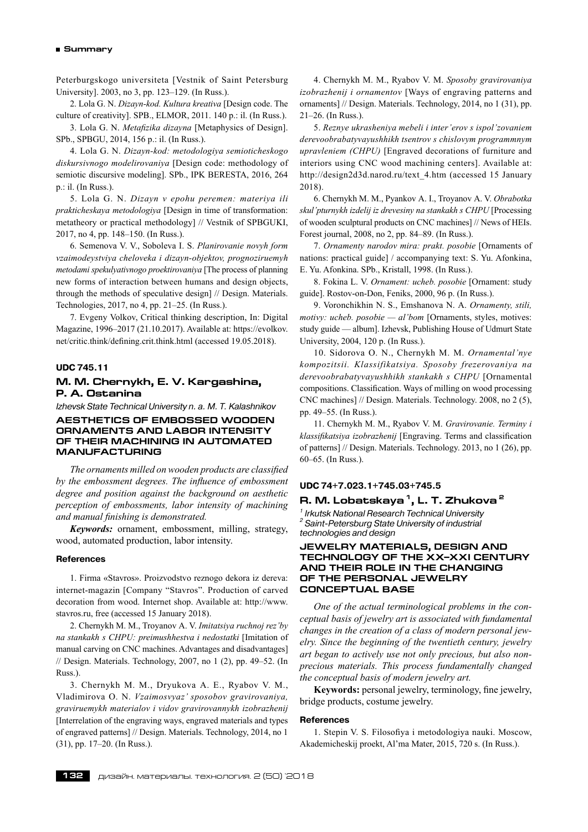Peterburgskogo universiteta [Vestnik of Saint Petersburg University]. 2003, no 3, pp. 123–129. (In Russ.).

2. Lola G. N. *Dizayn-kod. Kultura kreativa* [Design code. The culture of creativity]. SPB., ELMOR, 2011. 140 p.: il. (In Russ.).

3. Lola G. N. *Metafizika dizayna* [Metaphysics of Design]. SPb., SPBGU, 2014, 156 p.: il. (In Russ.).

4. Lola G. N. *Dizayn-kod: metodologiya semioticheskogo diskursivnogo modelirovaniya* [Design code: methodology of semiotic discursive modeling]. SPb., IPK BERESTA, 2016, 264 p.: il. (In Russ.).

5. Lola G. N. *Dizayn v epohu peremen: materiya ili prakticheskaya metodologiya* [Design in time of transformation: metatheory or practical methodology] // Vestnik of SPBGUKI, 2017, no 4, pp. 148–150. (In Russ.).

6. Semenova V. V., Soboleva I. S. *Planirovanie novyh form vzaimodeystviya cheloveka i dizayn-objektov, prognoziruemyh metodami spekulyativnogo proektirovaniya* [The process of planning new forms of interaction between humans and design objects, through the methods of speculative design] // Design. Materials. Technologies, 2017, no 4, pp. 21–25. (In Russ.).

7. Evgeny Volkov, Critical thinking description, In: Digital Magazine, 1996–2017 (21.10.2017). Available at: https://evolkov. net/critic.think/defining.crit.think.html (accessed 19.05.2018).

# **UDC 745.11**

# **М. М. Chernykh, E. V. Kargashina, P. A. Ostanina**

*Izhevsk State Technical University n. a. M. T. Kalashnikov* **AESTHETICS OF EMBOSSED WOODEN ORNAMENTS AND LABOR INTENSITY OF THEIR MACHINING IN AUTOMATED MANUFACTURING**

*The ornaments milled on wooden products are classified by the embossment degrees. The influence of embossment degree and position against the background on aesthetic perception of embossments, labor intensity of machining and manual finishing is demonstrated.*

*Keywords:* ornament, embossment, milling, strategy, wood, automated production, labor intensity.

#### **References**

1. Firma «Stavros». Proizvodstvo reznogo dekora iz dereva: internet-magazin [Company "Stavros". Production of carved decoration from wood. Internet shop. Available at: http://www. stavros.ru, free (accessed 15 January 2018).

2. Chernykh М. М., Troyanov А. V. *Imitatsiya ruchnoj rez'by na stankakh s CHPU: preimushhestva i nedostatki* [Imitation of manual carving on CNC machines. Advantages and disadvantages] // Design. Materials. Technology, 2007, no 1 (2), pp. 49–52. (In Russ.).

3. Chernykh М. М., Dryukova А. E., Ryabov V. M., Vladimirova О. N. *Vzaimosvyaz' sposobov gravirovaniya, graviruemykh materialov i vidov gravirovannykh izobrazhenij* [Interrelation of the engraving ways, engraved materials and types of engraved patterns] // Design. Materials. Technology, 2014, no 1 (31), pp. 17–20. (In Russ.).

4. Chernykh М. М., Ryabov V. M. *Sposoby gravirovaniya izobrazhenij i ornamentov* [Ways of engraving patterns and ornaments] // Design. Materials. Technology, 2014, no 1 (31), pp. 21–26. (In Russ.).

5. *Reznye ukrasheniya mebeli i inter'erov s ispol'zovaniem derevoobrabatyvayushhikh tsentrov s chislovym programmnym upravleniem (CHPU)* [Engraved decorations of furniture and interiors using CNC wood machining centers]. Available at: http://design2d3d.narod.ru/text\_4.htm (accessed 15 January 2018).

6. Chernykh М. М., Pyankov А. I., Troyanov А. V. *Obrabotka skul'pturnykh izdelij iz drevesiny na stankakh s CHPU* [Processing of wooden sculptural products on CNC machines] // News of HEIs. Forest journal, 2008, no 2, pp. 84–89. (In Russ.).

7. *Ornamenty narodov mira: prakt. posobie* [Ornaments of nations: practical guide] / accompanying text: S. Yu. Afonkina, E. Yu. Afonkina. SPb., Kristall, 1998. (In Russ.).

8. Fokina L. V. *Ornament: ucheb. posobie* [Ornament: study guide]. Rostov-on-Don, Feniks, 2000, 96 p. (In Russ.).

9. Voronchikhin N. S., Еmshanova N. А. *Ornamenty, stili, motivy: ucheb. posobie — al'bom* [Ornaments, styles, motives: study guide — album]. Izhevsk, Publishing House of Udmurt State University, 2004, 120 p. (In Russ.).

10. Sidorova О. N., Chernykh М. М. *Ornamental'nye kompozitsii. Klassifikatsiya. Sposoby frezerovaniya na derevoobrabatyvayushhikh stankakh s CHPU* [Ornamental compositions. Classification. Ways of milling on wood processing CNC machines] // Design. Materials. Technology. 2008, no 2 (5), pp. 49–55. (In Russ.).

11. Chernykh М. М., Ryabov V. M. *Gravirovanie. Terminy i klassifikatsiya izobrazhenij* [Engraving. Terms and classification of patterns] // Design. Materials. Technology. 2013, no 1 (26), pp. 60–65. (In Russ.).

# **UDC 74+7.023.1+745.03+745.5**

### **R. M. Lobatskaya 1, L. T. Zhukova 2**

*1 Irkutsk National Research Technical University 2 Saint-Petersburg State University of industrial technologies and design*

# **JEWELRY MATERIALS, DESIGN AND TECHNOLOGY OF THE XX–XXI CENTURY AND THEIR ROLE IN THE CHANGING OF THE PERSONAL JEWELRY CONCEPTUAL BASE**

*One of the actual terminological problems in the conceptual basis of jewelry art is associated with fundamental changes in the creation of a class of modern personal jewelry. Since the beginning of the twentieth century, jewelry art began to actively use not only precious, but also nonprecious materials. This process fundamentally changed the conceptual basis of modern jewelry art.*

**Keywords:** personal jewelry, terminology, fine jewelry, bridge products, costume jewelry.

#### **References**

1. Stepin V. S. Filosofiya i metodologiya nauki. Moscow, Akademicheskij proekt, Al'ma Mater, 2015, 720 s. (In Russ.).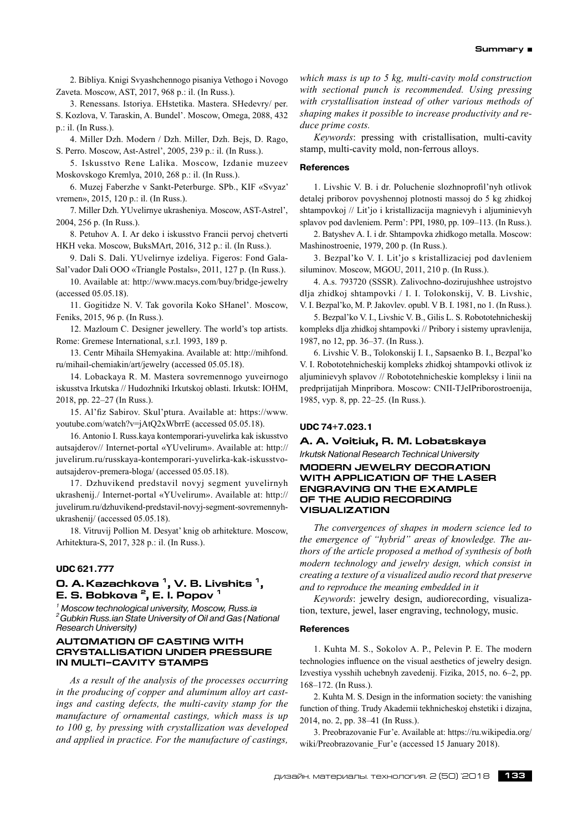2. Bibliya. Knigi Svyashchennogo pisaniya Vethogo i Novogo Zaveta. Moscow, AST, 2017, 968 p.: il. (In Russ.).

3. Renessans. Istoriya. EHstetika. Mastera. SHedevry/ per. S. Kozlova, V. Taraskin, A. Bundel'. Moscow, Omega, 2088, 432 p.: il. (In Russ.).

4. Miller Dzh. Modern / Dzh. Miller, Dzh. Bejs, D. Rago, S. Perro. Moscow, Ast-Astrel', 2005, 239 p.: il. (In Russ.).

5. Iskusstvo Rene Lalika. Moscow, Izdanie muzeev Moskovskogo Kremlya, 2010, 268 p.: il. (In Russ.).

6. Muzej Faberzhe v Sankt-Peterburge. SPb., KIF «Svyaz' vremen», 2015, 120 p.: il. (In Russ.).

7. Miller Dzh. YUvelirnye ukrasheniya. Moscow, AST-Astrel', 2004, 256 p. (In Russ.).

8. Petuhov A. I. Ar deko i iskusstvo Francii pervoj chetverti HKH veka. Moscow, BuksMArt, 2016, 312 p.: il. (In Russ.).

9. Dali S. Dali. YUvelirnye izdeliya. Figeros: Fond Gala-Sal'vador Dali OOO «Triangle Postals», 2011, 127 p. (In Russ.).

10. Available at: http://www.macys.com/buy/bridge-jewelry (accessed 05.05.18).

11. Gogitidze N. V. Tak govorila Koko SHanel'. Moscow, Feniks, 2015, 96 p. (In Russ.).

12. Mazloum C. Designer jewellery. The world's top artists. Rome: Gremese International, s.r.l. 1993, 189 p.

13. Centr Mihaila SHemyakina. Available at: http://mihfond. ru/mihail-chemiakin/art/jewelry (accessed 05.05.18).

14. Lobackaya R. M. Mastera sovremennogo yuveirnogo iskusstva Irkutska // Hudozhniki Irkutskoj oblasti. Irkutsk: IOHM, 2018, pp. 22–27 (In Russ.).

15. Al'fiz Sabirov. Skul'ptura. Available at: https://www. youtube.com/watch?v=jAtQ2xWbrrE (accessed 05.05.18).

16. Antonio I. Russ.kaya kontemporari-yuvelirka kak iskusstvo autsajderov// Internet-portal «YUvelirum». Available at: http:// juvelirum.ru/russkaya-kontemporari-yuvelirka-kak-iskusstvoautsajderov-premera-bloga/ (accessed 05.05.18).

17. Dzhuvikend predstavil novyj segment yuvelirnyh ukrashenij./ Internet-portal «YUvelirum». Available at: http:// juvelirum.ru/dzhuvikend-predstavil-novyj-segment-sovremennyhukrashenij/ (accessed 05.05.18).

18. Vitruvij Pollion M. Desyat' knig ob arhitekture. Moscow, Arhitektura-S, 2017, 328 p.: il. (In Russ.).

# **UDC 621.777**

# **O. A. Kazachkova 1, V. B. Livshits 1, E. S. Bobkova 2, E. I. Popov 1**

*1 Moscow technological university, Moscow, Russ.ia 2 Gubkin Russ.ian State University of Oil and Gas (National Research University)*

### **AUTOMATION OF CASTING WITH CRYSTALLISATION UNDER PRESSURE IN MULTI–CAVITY STAMPS**

*As a result of the analysis of the processes occurring in the producing of copper and aluminum alloy art castings and casting defects, the multi-cavity stamp for the manufacture of ornamental castings, which mass is up to 100 g, by pressing with crystallization was developed and applied in practice. For the manufacture of castings,*

*which mass is up to 5 kg, multi-cavity mold construction with sectional punch is recommended. Using pressing with crystallisation instead of other various methods of shaping makes it possible to increase productivity and reduce prime costs.*

*Keywords*: pressing with cristallisation, multi-cavity stamp, multi-cavity mold, non-ferrous alloys.

# **References**

1. Livshic V. B. i dr. Poluchenie slozhnoprofil'nyh otlivok detalej priborov povyshennoj plotnosti massoj do 5 kg zhidkoj shtampovkoj // Lit'jo i kristallizacija magnievyh i aljuminievyh splavov pod davleniem. Perm': PPI, 1980, pp. 109–113. (In Russ.).

2. Batyshev A. I. i dr. Shtampovka zhidkogo metalla. Moscow: Mashinostroenie, 1979, 200 p. (In Russ.).

3. Bezpal'ko V. I. Lit'jo s kristallizaciej pod davleniem siluminov. Moscow, MGOU, 2011, 210 p. (In Russ.).

4. A.s. 793720 (SSSR). Zalivochno-dozirujushhee ustrojstvo dlja zhidkoj shtampovki / I. I. Tolokonskij, V. B. Livshic, V. I. Bezpal'ko, M. P. Jakovlev. opubl. V B. I. 1981, no 1. (In Russ.).

5. Bezpal'ko V. I., Livshic V. B., Gilis L. S. Robototehnicheskij kompleks dlja zhidkoj shtampovki // Pribory i sistemy upravlenija, 1987, no 12, pp. 36–37. (In Russ.).

6. Livshic V. B., Tolokonskij I. I., Sapsaenko B. I., Bezpal'ko V. I. Robototehnicheskij kompleks zhidkoj shtampovki otlivok iz aljuminievyh splavov // Robototehnicheskie kompleksy i linii na predprijatijah Minpribora. Moscow: CNII-TJeIPriborostroenija, 1985, vyp. 8, pp. 22–25. (In Russ.).

#### **UDC 74+7.023.1**

# **A. A. Voitiuk, R. M. Lobatskaya**

*Irkutsk National Research Technical University*

**MODERN JEWELRY DECORATION WITH APPLICATION OF THE LASER ENGRAVING ON THE EXAMPLE OF THE AUDIO RECORDING VISUALIZATION**

*The convergences of shapes in modern science led to the emergence of "hybrid" areas of knowledge. The authors of the article proposed a method of synthesis of both modern technology and jewelry design, which consist in creating a texture of a visualized audio record that preserve and to reproduce the meaning embedded in it*

*Keywords*: jewelry design, audiorecording, visualization, texture, jewel, laser engraving, technology, music.

#### **References**

1. Kuhta M. S., Sokolov A. P., Pelevin P. E. The modern technologies influence on the visual aesthetics of jewelry design. Izvestiya vysshih uchebnyh zavedenij. Fizika, 2015, no. 6–2, pp. 168–172. (In Russ.).

2. Kuhta M. S. Design in the information society: the vanishing function of thing. Trudy Akademii tekhnicheskoj ehstetiki i dizajna, 2014, no. 2, pp. 38–41 (In Russ.).

3. Preobrazovanie Fur'e. Available at: https://ru.wikipedia.org/ wiki/Preobrazovanie\_Fur'e (accessed 15 January 2018).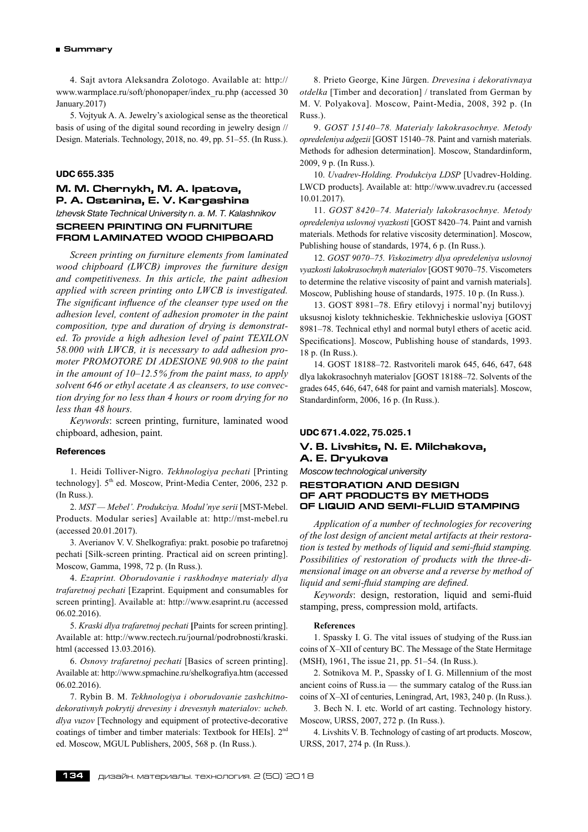4. Sajt avtora Aleksandra Zolotogo. Available at: http:// www.warmplace.ru/soft/phonopaper/index\_ru.php (accessed 30 January.2017)

5. Vojtyuk A. A. Jewelry's axiological sense as the theoretical basis of using of the digital sound recording in jewelry design // Design. Materials. Technology, 2018, no. 49, pp. 51–55. (In Russ.).

### **UDC 655.335**

# **М. М. Chernykh, М. а. Ipatova, P. A. Ostanina, E. V. Kargashina** *Izhevsk State Technical University n. a. M. T. Kalashnikov* **SCREEN PRINTING ON FURNITURE**

**FROM LAMINATED WOOD CHIPBOARD**

*Screen printing on furniture elements from laminated wood chipboard (LWCB) improves the furniture design and competitiveness. In this article, the paint adhesion applied with screen printing onto LWCB is investigated. The significant influence of the cleanser type used on the adhesion level, content of adhesion promoter in the paint composition, type and duration of drying is demonstrated. To provide a high adhesion level of paint TEXILON 58.000 with LWCB, it is necessary to add adhesion promoter PROMOTORE DI ADESIONE 90.908 to the paint in the amount of 10–12.5 % from the paint mass, to apply solvent 646 or ethyl acetate А as cleansers, to use convection drying for no less than 4 hours or room drying for no less than 48 hours.*

*Keywords*: screen printing, furniture, laminated wood chipboard, adhesion, paint.

#### **References**

1. Heidi Tolliver-Nigro.*Tekhnologiya pechati* [Printing technology].  $5<sup>th</sup>$  ed. Moscow, Print-Media Center, 2006, 232 p. (In Russ.).

2. *MST — Mebel'. Produkciya. Modul'nye serii* [MST-Mebel. Products. Modular series] Available at: http://mst-mebel.ru (accessed 20.01.2017).

3. Averianov V. V. Shelkografiya: prakt. posobie po trafaretnoj pechati [Silk-screen printing. Practical aid on screen printing]. Мoscow, Gamma, 1998, 72 p. (In Russ.).

4. *Ezaprint. Oborudovanie i raskhodnye materialy dlya trafaretnoj pechati* [Ezaprint. Equipment and consumables for screen printing]. Available at: http://www.esaprint.ru (accessed 06.02.2016).

5. *Kraski dlya trafaretnoj pechati* **[**Paints for screen printing]. Available at: http://www.rectech.ru/journal/podrobnosti/kraski. html (accessed 13.03.2016).

6. *Osnovy trafaretnoj pechati* [Basics of screen printing]. Available at: http://www.spmachine.ru/shelkografiya.htm (accessed 06.02.2016).

7. Rybin B. M. *Tekhnologiya i oborudovanie zashchitnodekorativnyh pokrytij drevesiny i drevesnyh materialov: ucheb. dlya vuzov* [Technology and equipment of protective-decorative coatings of timber and timber materials: Textbook for HEIs]. 2nd ed. Мoscow, MGUL Publishers, 2005, 568 p. (In Russ.).

8. Prieto George, Kine Jürgen.*Drevesina i dekorativnaya otdelka* [Timber and decoration] / translated from German by M. V. Polyakova]. Мoscow, Paint-Media, 2008, 392 p. (In Russ.).

9. *GOST 15140–78. Materialy lakokrasochnye. Metody opredeleniya adgezii* [GOST 15140–78. Paint and varnish materials. Methods for adhesion determination]. Мoscow, Standardinform, 2009, 9 p. (In Russ.).

10.*Uvadrev-Holding. Produkciya LDSP* [Uvadrev-Holding. LWCD products]. Available at: http://www.uvadrev.ru (accessed 10.01.2017).

11.*GOST 8420–74. Materialy lakokrasochnye. Metody opredeleniya uslovnoj vyazkosti* [GOST 8420–74. Paint and varnish materials. Methods for relative viscosity determination]. Мoscow, Publishing house of standards, 1974, 6 p. (In Russ.).

12. *GOST 9070–75. Viskozimetry dlya opredeleniya uslovnoj vyazkosti lakokrasochnyh materialov* [GOST 9070–75. Viscometers to determine the relative viscosity of paint and varnish materials]. Мoscow, Publishing house of standards, 1975. 10 p. (In Russ.).

13. GOST 8981–78. Efiry etilovyj i normal'nyj butilovyj uksusnoj kisloty tekhnicheskie. Tekhnicheskie usloviya [GOST 8981–78. Technical ethyl and normal butyl ethers of acetic acid. Specifications]. Мoscow, Publishing house of standards, 1993. 18 p. (In Russ.).

14. GOST 18188–72. Rastvoriteli marok 645, 646, 647, 648 dlya lakokrasochnyh materialov [GOST 18188–72. Solvents of the grades 645, 646, 647, 648 for paint and varnish materials]. Мoscow, Standardinform, 2006, 16 p. (In Russ.).

#### **UDC 671.4.022, 75.025.1**

# **V. B. Livshits, N. E. Milchakova, A. E. Dryukova**

*Moscow technological university*

### **RESTORATION AND DESIGN OF ART PRODUCTS BY METHODS OF LIQUID AND SEMI-FLUID STAMPING**

*Application of a number of technologies for recovering of the lost design of ancient metal artifacts at their restoration is tested by methods of liquid and semi-fluid stamping. Possibilities of restoration of products with the three-dimensional image on an obverse and a reverse by method of liquid and semi-fluid stamping are defined.*

*Keywords*: design, restoration, liquid and semi-fluid stamping, press, compression mold, artifacts.

#### **References**

1. Spassky I. G. The vital issues of studying of the Russ.ian coins of X–XII of century BC. Тhe Message of the State Hermitage (MSH), 1961, The issue 21, pp. 51–54. (In Russ.).

2. Sotnikova M. P., Spassky of I. G. Millennium of the most ancient coins of Russ.ia — the summary catalog of the Russ.ian coins of X–XI of centuries, Leningrad, Art, 1983, 240 p. (In Russ.).

3. Bech N. I. etc. World of art casting. Technology history. Moscow, URSS, 2007, 272 p. (In Russ.).

4. Livshits V. B. Technology of casting of art products. Moscow, URSS, 2017, 274 p. (In Russ.).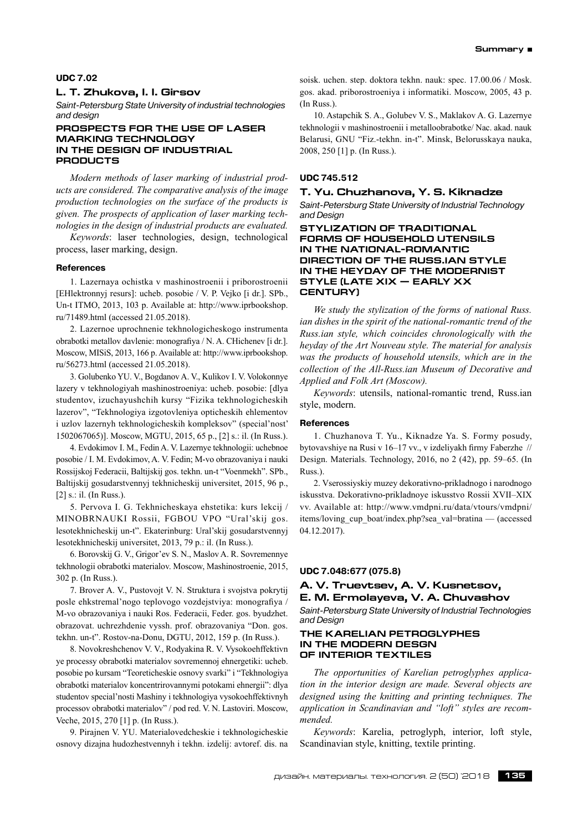#### **UDC 7.02**

# **L. T. Zhukova, I. I. Girsov**

*Saint-Petersburg State University of industrial technologies and design*

### **Prospects for the use of laser marking technology in the design of industrial products**

*Modern methods of laser marking of industrial products are considered. The comparative analysis of the image production technologies on the surface of the products is given. The prospects of application of laser marking technologies in the design of industrial products are evaluated.*

*Keywords*: laser technologies, design, technological process, laser marking, design.

#### **References**

1. Lazernaya ochistka v mashinostroenii i priborostroenii [EHlektronnyj resurs]: ucheb. posobie / V. P. Vejko [i dr.]. SPb., Un-t ITMO, 2013, 103 p. Available at: http://www.iprbookshop. ru/71489.html (accessed 21.05.2018).

2. Lazernoe uprochnenie tekhnologicheskogo instrumenta obrabotki metallov davlenie: monografiya / N. A. CHichenev [i dr.]. Moscow, MISiS, 2013, 166 p. Available at: http://www.iprbookshop. ru/56273.html (accessed 21.05.2018).

3. Golubenko YU. V., Bogdanov A. V., Kulikov I. V. Volokonnye lazery v tekhnologiyah mashinostroeniya: ucheb. posobie: [dlya studentov, izuchayushchih kursy "Fizika tekhnologicheskih lazerov", "Tekhnologiya izgotovleniya opticheskih ehlementov i uzlov lazernyh tekhnologicheskih kompleksov" (special'nost' 1502067065)]. Moscow, MGTU, 2015, 65 p., [2] s.: il. (In Russ.).

4. Evdokimov I. M., Fedin A. V. Lazernye tekhnologii: uchebnoe posobie / I. M. Evdokimov, A. V. Fedin; M-vo obrazovaniya i nauki Rossijskoj Federacii, Baltijskij gos. tekhn. un-t "Voenmekh". SPb., Baltijskij gosudarstvennyj tekhnicheskij universitet, 2015, 96 p., [2] s.: il. (In Russ.).

5. Pervova I. G. Tekhnicheskaya ehstetika: kurs lekcij / MINOBRNAUKI Rossii, FGBOU VPO "Ural'skij gos. lesotekhnicheskij un-t". Ekaterinburg: Ural'skij gosudarstvennyj lesotekhnicheskij universitet, 2013, 79 p.: il. (In Russ.).

6. Borovskij G. V., Grigor'ev S. N., Maslov A. R. Sovremennye tekhnologii obrabotki materialov. Moscow, Mashinostroenie, 2015, 302 p. (In Russ.).

7. Brover A. V., Pustovojt V. N. Struktura i svojstva pokrytij posle ehkstremal'nogo teplovogo vozdejstviya: monografiya / M-vo obrazovaniya i nauki Ros. Federacii, Feder. gos. byudzhet. obrazovat. uchrezhdenie vyssh. prof. obrazovaniya "Don. gos. tekhn. un-t". Rostov-na-Donu, DGTU, 2012, 159 p. (In Russ.).

8. Novokreshchenov V. V., Rodyakina R. V. Vysokoehffektivn ye processy obrabotki materialov sovremennoj ehnergetiki: ucheb. posobie po kursam "Teoreticheskie osnovy svarki" i "Tekhnologiya obrabotki materialov koncentrirovannymi potokami ehnergii": dlya studentov special'nosti Mashiny i tekhnologiya vysokoehffektivnyh processov obrabotki materialov" / pod red. V. N. Lastoviri. Moscow, Veche, 2015, 270 [1] p. (In Russ.).

9. Pirajnen V. YU. Materialovedcheskie i tekhnologicheskie osnovy dizajna hudozhestvennyh i tekhn. izdelij: avtoref. dis. na

soisk. uchen. step. doktora tekhn. nauk: spec. 17.00.06 / Mosk. gos. akad. priborostroeniya i informatiki. Moscow, 2005, 43 p. (In Russ.).

10. Astapchik S. A., Golubev V. S., Maklakov A. G. Lazernye tekhnologii v mashinostroenii i metalloobrabotke/ Nac. akad. nauk Belarusi, GNU "Fiz.‑tekhn. in-t". Minsk, Belorusskaya nauka, 2008, 250 [1] p. (In Russ.).

# **UDC 745.512**

# **T. Yu. Chuzhanova, Y. S. Kiknadze**

*Saint-Petersburg State University of Industrial Technology and Design*

# **Stylization of traditional forms of household utensils in the national-romantic direction of the Russ.ian style in the heyday of the modernist style (late XIX — early XX century)**

*We study the stylization of the forms of national Russ. ian dishes in the spirit of the national-romantic trend of the Russ.ian style, which coincides chronologically with the heyday of the Art Nouveau style. The material for analysis was the products of household utensils, which are in the collection of the All-Russ.ian Museum of Decorative and Applied and Folk Art (Moscow).*

*Keywords*: utensils, national-romantic trend, Russ.ian style, modern.

#### **References**

1. Chuzhanova T. Yu., Kiknadze Ya. S. Formy posudy, bytovavshiye na Rusi v 16–17 vv., v izdeliyakh firmy Faberzhe // Design. Materials. Technology, 2016, no 2 (42), pp. 59–65. (In Russ.).

2. Vserossiyskiy muzey dekorativno-prikladnogo i narodnogo iskusstva. Dekorativno-prikladnoye iskusstvo Rossii XVII–XIX vv. Available at: http://www.vmdpni.ru/data/vtours/vmdpni/ items/loving\_cup\_boat/index.php?sea\_val=bratina — (accessed 04.12.2017).

#### **UDC 7.048:677 (075.8)**

# **A. V. Truevtsev, A. V. Kusnetsov, E. M. Ermolayeva, V. A. Chuvashov**

*Saint-Petersburg State University of Industrial Technologies and Design*

#### **THE KARELIAN PETROGLYPHES IN THE MODERN DESGN OF INTERIOR TEXTILES**

*The opportunities of Karelian petroglyphes application in the interior design are made. Several objects are designed using the knitting and printing techniques. The application in Scandinavian and "loft" styles are recommended.*

*Keywords*: Karelia, petroglyph, interior, loft style, Scandinavian style, knitting, textile printing.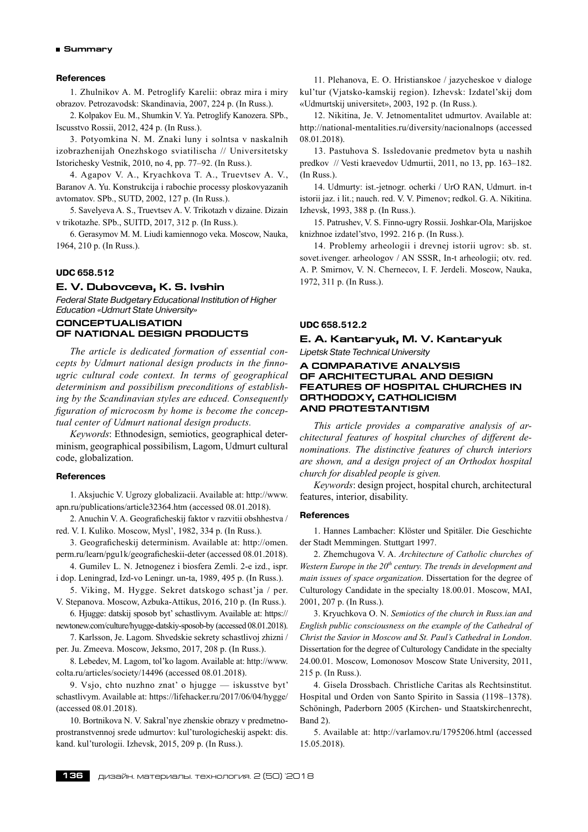### **References**

1. Zhulnikov A. M. Petroglify Karelii: obraz mira i miry obrazov. Petrozavodsk: Skandinavia, 2007, 224 p. (In Russ.).

2. Kolpakov Eu. M., Shumkin V. Ya. Petroglify Kanozera. SPb., Iscusstvo Rossii, 2012, 424 p. (In Russ.).

3. Potyomkina N. M. Znaki luny i solntsa v naskalnih izobrazhenijah Onezhskogo sviatilischa // Universitetsky Istorichesky Vestnik, 2010, no 4, pp. 77–92. (In Russ.).

4. Agapov V. A., Kryachkova T. A., Truevtsev A. V., Baranov A. Yu. Konstrukcija i rabochie processy ploskovyazanih avtomatov. SPb., SUTD, 2002, 127 p. (In Russ.).

5. Savelyeva A. S., Truevtsev A. V. Trikotazh v dizaine. Dizain v trikotazhe. SPb., SUITD, 2017, 312 p. (In Russ.).

6. Gerasymov M. M. Liudi kamiennogo veka. Moscow, Nauka, 1964, 210 p. (In Russ.).

#### **UDC 658.512**

#### **E. V. Dubovceva, K. S. Ivshin**

*Federal State Budgetary Educational Institution of Higher Education «Udmurt State University»* 

# **CONCEPTUALISATION OF NATIONAL DESIGN PRODUCTS**

*The article is dedicated formation of essential concepts by Udmurt national design products in the finnougric cultural code context. In terms of geographical determinism and possibilism preconditions of establishing by the Scandinavian styles are educed. Consequently figuration of microcosm by home is become the conceptual center of Udmurt national design products.*

*Keywords*: Ethnodesign, semiotics, geographical determinism, geographical possibilism, Lagom, Udmurt cultural code, globalization.

#### **References**

1. Aksjuchic V. Ugrozy globalizacii. Available at: http://www. apn.ru/publications/article32364.htm (accessed 08.01.2018).

2. Anuchin V. A. Geograficheskij faktor v razvitii obshhestva / red. V. I. Kuliko. Moscow, Mysl', 1982, 334 p. (In Russ.).

3. Geograficheskij determinism. Available at: http://omen. perm.ru/learn/pgu1k/geograficheskii-deter (accessed 08.01.2018).

4. Gumilev L. N. Jetnogenez i biosfera Zemli. 2‑e izd., ispr. i dop. Leningrad, Izd-vo Leningr. un-ta, 1989, 495 p. (In Russ.).

5. Viking, M. Hygge. Sekret datskogo schast'ja / per. V. Stepanova. Moscow, Azbuka-Attikus, 2016, 210 p. (In Russ.).

6. Hjugge: datskij sposob byt' schastlivym. Available at: https:// newtonew.com/culture/hyugge-datskiy-sposob-by (accessed 08.01.2018).

7. Karlsson, Je. Lagom. Shvedskie sekrety schastlivoj zhizni / per. Ju. Zmeeva. Moscow, Jeksmo, 2017, 208 p. (In Russ.).

8. Lebedev, M. Lagom, tol'ko lagom. Available at: http://www. colta.ru/articles/society/14496 (accessed 08.01.2018).

9. Vsjo, chto nuzhno znat' o hjugge — iskusstve byt' schastlivym. Available at: https://lifehacker.ru/2017/06/04/hygge/ (accessed 08.01.2018).

10. Bortnikova N. V. Sakral'nye zhenskie obrazy v predmetnoprostranstvennoj srede udmurtov: kul'turologicheskij aspekt: dis. kand. kul'turologii. Izhevsk, 2015, 209 p. (In Russ.).

11. Plehanova, E. O. Hristianskoe / jazycheskoe v dialoge kul'tur (Vjatsko-kamskij region). Izhevsk: Izdatel'skij dom «Udmurtskij universitet», 2003, 192 p. (In Russ.).

12. Nikitina, Je. V. Jetnomentalitet udmurtov. Available at: http://national-mentalities.ru/diversity/nacionalnops (accessed 08.01.2018).

13. Pastuhova S. Issledovanie predmetov byta u nashih predkov // Vesti kraevedov Udmurtii, 2011, no 13, pp. 163–182. (In Russ.).

14. Udmurty: ist.‑jetnogr. ocherki / UrO RAN, Udmurt. in-t istorii jaz. i lit.; nauch. red. V. V. Pimenov; redkol. G. A. Nikitina. Izhevsk, 1993, 388 p. (In Russ.).

15. Patrushev, V. S. Finno-ugry Rossii. Joshkar-Ola, Marijskoe knizhnoe izdatel'stvo, 1992. 216 p. (In Russ.).

14. Problemy arheologii i drevnej istorii ugrov: sb. st. sovet.ivenger. arheologov / AN SSSR, In-t arheologii; otv. red. A. P. Smirnov, V. N. Chernecov, I. F. Jerdeli. Moscow, Nauka, 1972, 311 p. (In Russ.).

#### **UDC 658.512.2**

# **E. A. Kantaryuk, M. V. Kantaryuk** *Lipetsk State Technical University*

# **A COMPARATIVE ANALYSIS OF ARCHITECTURAL AND DESIGN FEATURES OF HOSPITAL CHURCHES IN ORTHODOXY, CATHOLICISM AND PROTESTANTISM**

*This article provides a comparative analysis of architectural features of hospital churches of different denominations. The distinctive features of church interiors are shown, and a design project of an Orthodox hospital church for disabled people is given.*

*Keywords*: design project, hospital church, architectural features, interior, disability.

### **References**

1. Hannes Lambacher: Klöster und Spitäler. Die Geschichte der Stadt Memmingen. Stuttgart 1997.

2. Zhemchugova V. A. *Architecture of Catholic churches of Western Europe in the*  $20<sup>th</sup>$  *century. The trends in development and main issues of space organization*. Dissertation for the degree of Culturology Candidate in the specialty 18.00.01. Moscow, MAI, 2001, 207 p. (In Russ.).

3. Kryuchkova O. N. *Semiotics of the church in Russ.ian and English public consciousness on the example of the Cathedral of Christ the Savior in Moscow and St. Paul's Cathedral in London*. Dissertation for the degree of Culturology Candidate in the specialty 24.00.01. Moscow, Lomonosov Moscow State University, 2011, 215 p. (In Russ.).

4. Gisela Drossbach. Christliche Caritas als Rechtsinstitut. Hospital und Orden von Santo Spirito in Sassia (1198–1378). Schöningh, Paderborn 2005 (Kirchen- und Staatskirchenrecht, Band 2).

5. Available at: http://varlamov.ru/1795206.html (accessed 15.05.2018).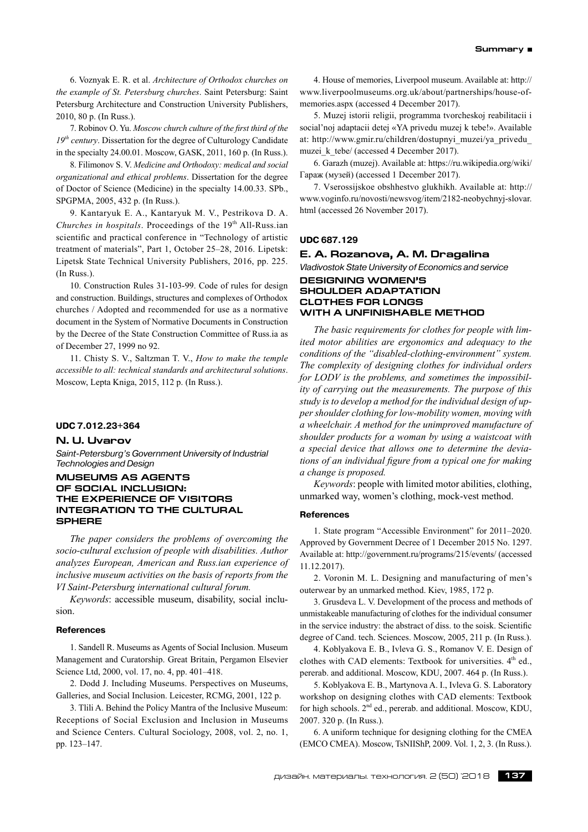6. Voznyak E. R. et al.*Architecture of Orthodox churches on the example of St. Petersburg churches*. Saint Petersburg: Saint Petersburg Architecture and Construction University Publishers, 2010, 80 p. (In Russ.).

7. Robinov O. Yu. *Moscow church culture of the first third of the*  $19<sup>th</sup>$  *century*. Dissertation for the degree of Culturology Candidate in the specialty 24.00.01. Moscow, GASK, 2011, 160 p. (In Russ.).

8. Filimonov S. V. *Medicine and Orthodoxy: medical and social organizational and ethical problems*. Dissertation for the degree of Doctor of Science (Medicine) in the specialty 14.00.33. SPb., SPGPMA, 2005, 432 p. (In Russ.).

9. Kantaryuk E. A., Kantaryuk M. V., Pestrikova D. A. *Churches in hospitals*. Proceedings of the 19<sup>th</sup> All-Russ.ian scientific and practical conference in "Technology of artistic treatment of materials", Part 1, October 25–28, 2016. Lipetsk: Lipetsk State Technical University Publishers, 2016, pp. 225. (In Russ.).

10. Construction Rules 31‑103‑99. Code of rules for design and construction. Buildings, structures and complexes of Orthodox churches / Adopted and recommended for use as a normative document in the System of Normative Documents in Construction by the Decree of the State Construction Committee of Russ.ia as of December 27, 1999 no 92.

11. Chisty S. V., Saltzman T. V., *How to make the temple accessible to all: technical standards and architectural solutions*. Moscow, Lepta Kniga, 2015, 112 p. (In Russ.).

#### **UDC 7.012.23+364**

#### **N. U. Uvarov**

*Saint-Petersburg's Government University of Industrial Technologies and Design*

### **MUSEUMS AS AGENTS OF SOCIAL INCLUSION: THE EXPERIENCE OF VISITORS INTEGRATION TO THE CULTURAL SPHERE**

*The paper considers the problems of overcoming the socio-cultural exclusion of people with disabilities. Author analyzes European, American and Russ.ian experience of inclusive museum activities on the basis of reports from the VI Saint-Petersburg international cultural forum.*

*Keywords*: accessible museum, disability, social inclusion.

#### **References**

1. Sandell R. Museums as Agents of Social Inclusion. Museum Management and Curatorship. Great Britain, Pergamon Elsevier Science Ltd, 2000, vol. 17, no. 4, pp. 401–418.

2. Dodd J. Including Museums. Perspectives on Museums, Galleries, and Social Inclusion. Leicester, RCMG, 2001, 122 р.

3. Tlili A. Behind the Policy Mantra of the Inclusive Museum: Receptions of Social Exclusion and Inclusion in Museums and Science Centers. Cultural Sociology, 2008, vol. 2, no. 1, pp. 123–147.

4. House of memories, Liverpool museum. Available at: http:// www.liverpoolmuseums.org.uk/about/partnerships/house-ofmemories.aspx (accessed 4 December 2017).

5. Muzej istorii religii, programma tvorcheskoj reabilitacii i social'noj adaptacii detej «YA privedu muzej k tebe!». Available at: http://www.gmir.ru/children/dostupnyi\_muzei/ya\_privedu\_ muzei k tebe/ (accessed 4 December 2017).

6. Garazh (muzej). Available at: https://ru.wikipedia.org/wiki/ Гараж (музей) (accessed 1 December 2017).

7. Vserossijskoe obshhestvo glukhikh. Available at: http:// www.voginfo.ru/novosti/newsvog/item/2182‑neobychnyj-slovar. html (accessed 26 November 2017).

#### **UDC 687.129**

#### **E. A. Rozanova, A. M. Dragalina**

*Vladivostok State University of Economics and service*

# **DESIGNING WOMEN'S SHOULDER ADAPTATION CLOTHES FOR LONGS WITH A UNFINISHABLE METHOD**

*The basic requirements for clothes for people with limited motor abilities are ergonomics and adequacy to the conditions of the "disabled-clothing-environment" system. The complexity of designing clothes for individual orders for LODV is the problems, and sometimes the impossibility of carrying out the measurements. The purpose of this study is to develop a method for the individual design of upper shoulder clothing for low-mobility women, moving with a wheelchair. A method for the unimproved manufacture of shoulder products for a woman by using a waistcoat with a special device that allows one to determine the deviations of an individual figure from a typical one for making a change is proposed.*

*Keywords*: people with limited motor abilities, clothing, unmarked way, women's clothing, mock-vest method.

#### **References**

1. State program "Accessible Environment" for 2011–2020. Approved by Government Decree of 1 December 2015 No. 1297. Available at: http://government.ru/programs/215/events/ (accessed 11.12.2017).

2. Voronin M. L. Designing and manufacturing of men's outerwear by an unmarked method. Kiev, 1985, 172 p.

3. Grusdeva L. V. Development of the process and methods of unmistakeable manufacturing of clothes for the individual consumer in the service industry: the abstract of diss. to the soisk. Scientific degree of Cand. tech. Sciences. Moscow, 2005, 211 p. (In Russ.).

4. Koblyakova E. B., Ivleva G. S., Romanov V. E. Design of clothes with CAD elements: Textbook for universities.  $4<sup>th</sup>$  ed., pererab. and additional. Moscow, KDU, 2007. 464 p. (In Russ.).

5. Koblyakova E. B., Martynova A. I., Ivleva G. S. Laboratory workshop on designing clothes with CAD elements: Textbook for high schools.  $2<sup>nd</sup>$  ed., pererab. and additional. Moscow, KDU, 2007. 320 p. (In Russ.).

6. A uniform technique for designing clothing for the CMEA (EMCO CMEA). Moscow, TsNIIShP, 2009. Vol. 1, 2, 3. (In Russ.).